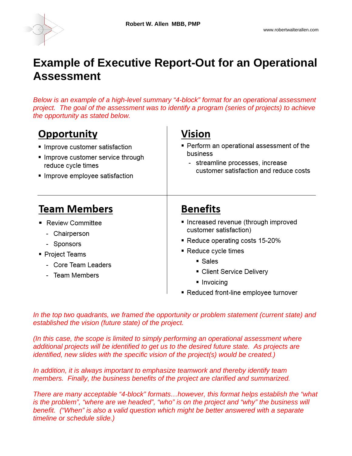

### **Example of Executive Report-Out for an Operational Assessment**

*Below is an example of a high-level summary "4-block" format for an operational assessment project. The goal of the assessment was to identify a program (series of projects) to achieve the opportunity as stated below.* 

| <b>Opportunity</b><br>Improve customer satisfaction<br>Improve customer service through<br>reduce cycle times<br>Improve employee satisfaction | Vision<br>■ Perform an operational assessment of the<br>business<br>- streamline processes, increase<br>customer satisfaction and reduce costs |  |  |
|------------------------------------------------------------------------------------------------------------------------------------------------|------------------------------------------------------------------------------------------------------------------------------------------------|--|--|
| <b>Team Members</b>                                                                                                                            | <b>Benefits</b>                                                                                                                                |  |  |
| <b>Review Committee</b><br>- Chairperson                                                                                                       | Increased revenue (through improved<br>customer satisfaction)                                                                                  |  |  |
| - Sponsors                                                                                                                                     | ■ Reduce operating costs 15-20%<br>$\blacksquare$ Reduce cycle times<br>■ Sales                                                                |  |  |
| ■ Project Teams                                                                                                                                |                                                                                                                                                |  |  |
| - Core Team Leaders                                                                                                                            |                                                                                                                                                |  |  |
| - Team Members                                                                                                                                 | ■ Client Service Delivery                                                                                                                      |  |  |
|                                                                                                                                                | ■ Invoicing                                                                                                                                    |  |  |
|                                                                                                                                                | Reduced front-line employee turnover<br>٠                                                                                                      |  |  |

*In the top two quadrants, we framed the opportunity or problem statement (current state) and established the vision (future state) of the project.* 

*(In this case, the scope is limited to simply performing an operational assessment where additional projects will be identified to get us to the desired future state. As projects are identified, new slides with the specific vision of the project(s) would be created.)* 

*In addition, it is always important to emphasize teamwork and thereby identify team members. Finally, the business benefits of the project are clarified and summarized.* 

*There are many acceptable "4-block" formats…however, this format helps establish the "what is the problem", "where are we headed", "who" is on the project and "why" the business will benefit. ("When" is also a valid question which might be better answered with a separate timeline or schedule slide.)*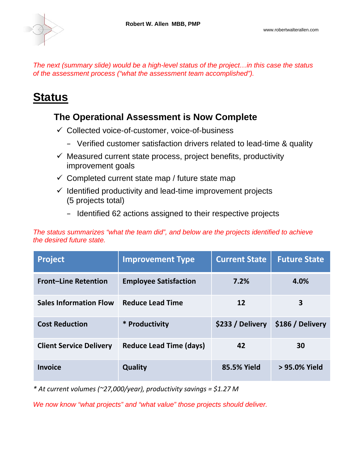*The next (summary slide) would be a high-level status of the project…in this case the status of the assessment process ("what the assessment team accomplished").* 

### **Status**

### **The Operational Assessment is Now Complete**

- $\checkmark$  Collected voice-of-customer, voice-of-business
	- Verified customer satisfaction drivers related to lead-time & quality
- $\checkmark$  Measured current state process, project benefits, productivity improvement goals
- $\checkmark$  Completed current state map / future state map
- $\checkmark$  Identified productivity and lead-time improvement projects (5 projects total)
	- Identified 62 actions assigned to their respective projects

*The status summarizes "what the team did", and below are the projects identified to achieve the desired future state.* 

| <b>Project</b>                 | <b>Improvement Type</b>        | <b>Current State</b> | <b>Future State</b> |
|--------------------------------|--------------------------------|----------------------|---------------------|
| <b>Front-Line Retention</b>    | <b>Employee Satisfaction</b>   | 7.2%                 | 4.0%                |
| <b>Sales Information Flow</b>  | <b>Reduce Lead Time</b>        | 12                   | 3                   |
| <b>Cost Reduction</b>          | * Productivity                 | \$233 / Delivery     | \$186 / Delivery    |
| <b>Client Service Delivery</b> | <b>Reduce Lead Time (days)</b> | 42                   | 30                  |
| <b>Invoice</b>                 | <b>Quality</b>                 | 85.5% Yield          | > 95.0% Yield       |

*\* At current volumes (~27,000/year), productivity savings = \$1.27 M*

*We now know "what projects" and "what value" those projects should deliver.*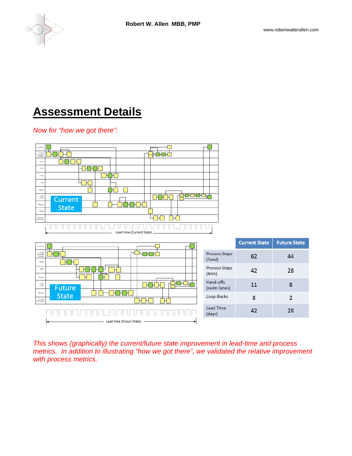

44

28

8

 $\overline{2}$ 

28

# **Assessment Details**

#### *Now for "how we got there":*



Lead time (Future State)

*This shows (graphically) the current/future state improvement in lead-time and process metrics. In addition to illustrating "how we got there", we validated the relative improvement with process metrics*.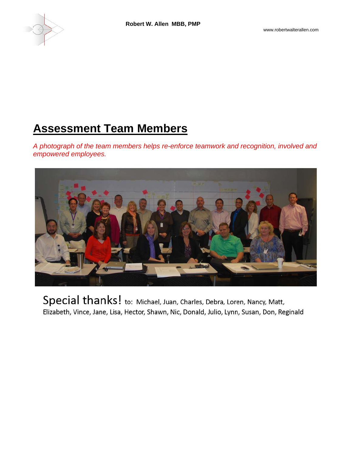

## **Assessment Team Members**

*A photograph of the team members helps re-enforce teamwork and recognition, involved and empowered employees.* 



Special thanks! to: Michael, Juan, Charles, Debra, Loren, Nancy, Matt, Elizabeth, Vince, Jane, Lisa, Hector, Shawn, Nic, Donald, Julio, Lynn, Susan, Don, Reginald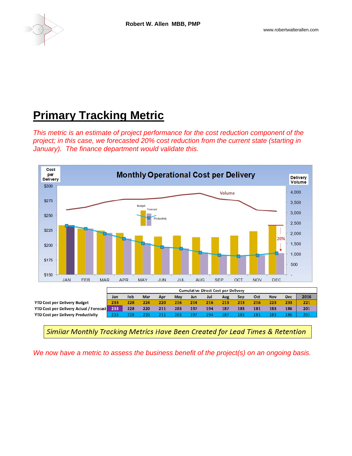

# **Primary Tracking Metric**

*This metric is an estimate of project performance for the cost reduction component of the project; in this case, we forecasted 20% cost reduction from the current state (starting in January). The finance department would validate this.* 



Similar Monthly Tracking Metrics Have Been Created for Lead Times & Retention

*We now have a metric to assess the business benefit of the project(s) on an ongoing basis.*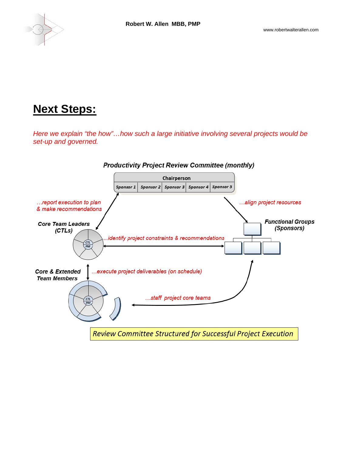

### **Next Steps:**

*Here we explain "the how"…how such a large initiative involving several projects would be set-up and governed.*